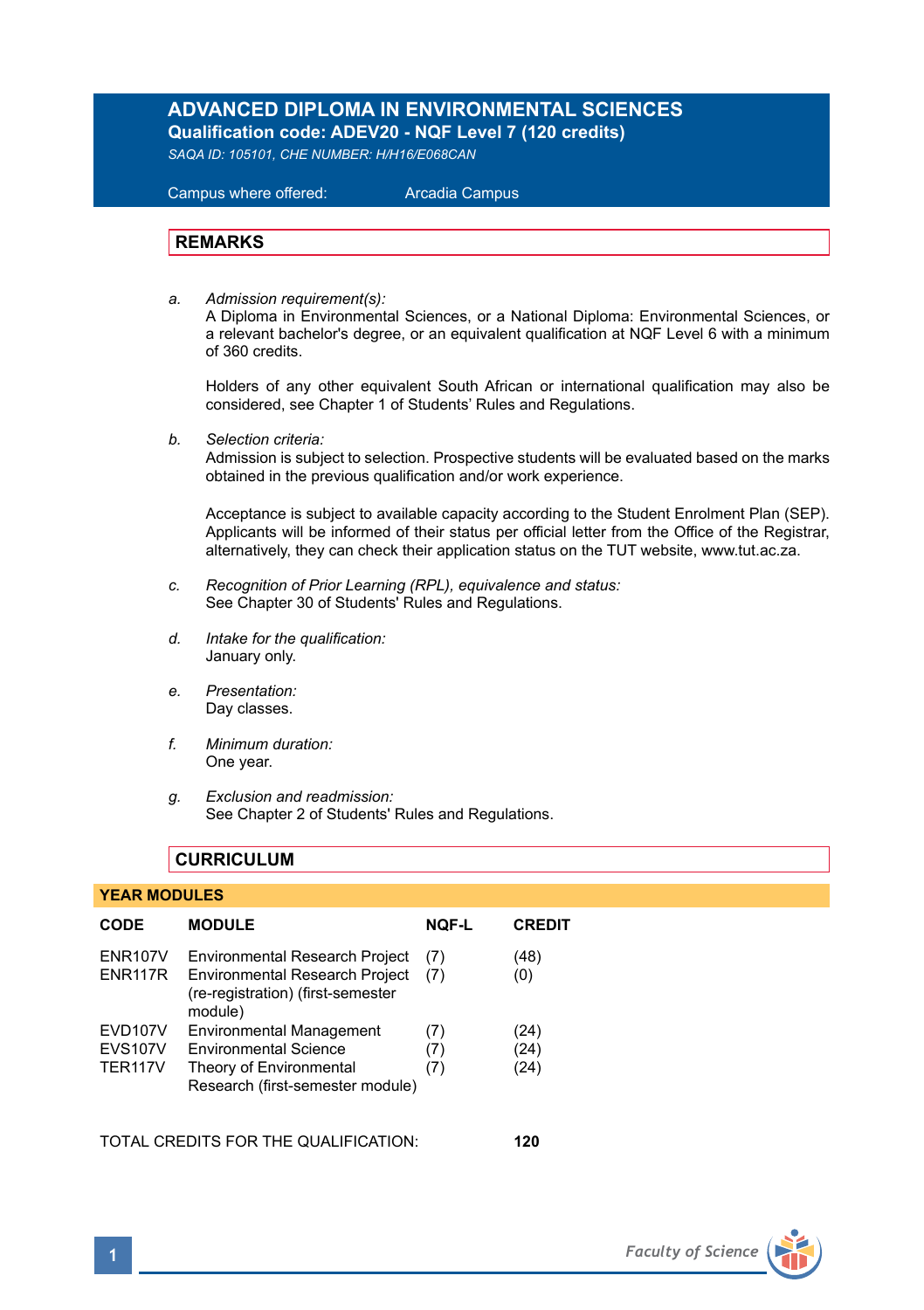#### **ADVANCED DIPLOMA IN ENVIRONMENTAL SCIENCES Qualification code: ADEV20 - NQF Level 7 (120 credits)**

*SAQA ID: 105101, CHE NUMBER: H/H16/E068CAN* 

 Campus where offered: Arcadia Campus

#### **REMARKS**

*a. Admission requirement(s):* 

A Diploma in Environmental Sciences, or a National Diploma: Environmental Sciences, or a relevant bachelor's degree, or an equivalent qualification at NQF Level 6 with a minimum of 360 credits.

Holders of any other equivalent South African or international qualification may also be considered, see Chapter 1 of Students' Rules and Regulations.

*b. Selection criteria:*

Admission is subject to selection. Prospective students will be evaluated based on the marks obtained in the previous qualification and/or work experience.

Acceptance is subject to available capacity according to the Student Enrolment Plan (SEP). Applicants will be informed of their status per official letter from the Office of the Registrar, alternatively, they can check their application status on the TUT website, www.tut.ac.za.

- *c. Recognition of Prior Learning (RPL), equivalence and status:* See Chapter 30 of Students' Rules and Regulations.
- *d. Intake for the qualification:* January only.
- *e. Presentation:* Day classes.
- *f. Minimum duration:* One year.
- *g. Exclusion and readmission:* See Chapter 2 of Students' Rules and Regulations.

#### **CURRICULUM**

#### **YEAR MODULES**

| CODE                                        | <b>MODULE</b>                                                                                                                  | <b>NOF-L</b>      | <b>CREDIT</b>        |
|---------------------------------------------|--------------------------------------------------------------------------------------------------------------------------------|-------------------|----------------------|
| <b>ENR107V</b><br><b>ENR117R</b>            | Environmental Research Project<br><b>Environmental Research Project</b><br>(re-registration) (first-semester<br>module)        | (7)<br>(7)        | (48)<br>(0)          |
| EVD107V<br><b>EVS107V</b><br><b>TER117V</b> | <b>Environmental Management</b><br><b>Environmental Science</b><br>Theory of Environmental<br>Research (first-semester module) | (7)<br>(7)<br>(7) | (24)<br>(24)<br>(24) |

TOTAL CREDITS FOR THE QUALIFICATION: **120**